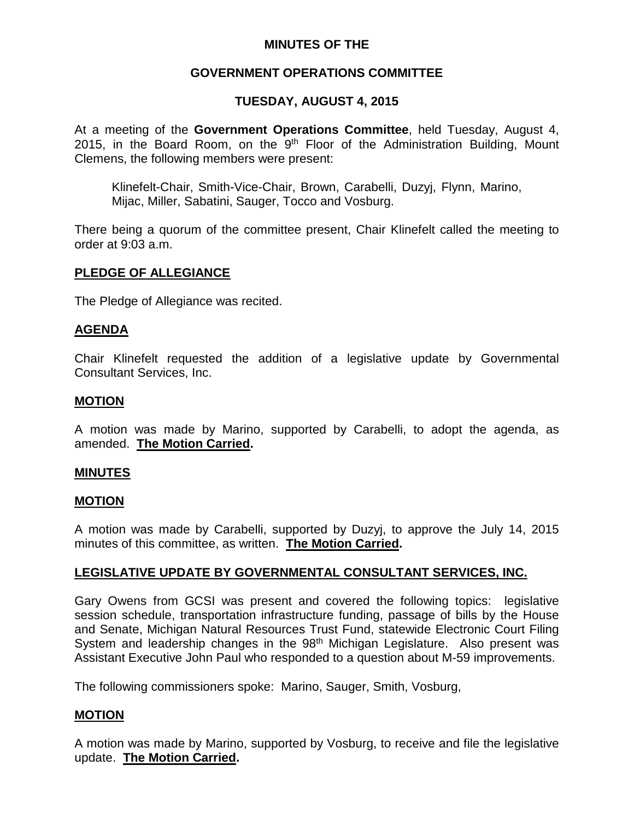# **MINUTES OF THE**

# **GOVERNMENT OPERATIONS COMMITTEE**

# **TUESDAY, AUGUST 4, 2015**

At a meeting of the **Government Operations Committee**, held Tuesday, August 4, 2015, in the Board Room, on the  $9<sup>th</sup>$  Floor of the Administration Building, Mount Clemens, the following members were present:

Klinefelt-Chair, Smith-Vice-Chair, Brown, Carabelli, Duzyj, Flynn, Marino, Mijac, Miller, Sabatini, Sauger, Tocco and Vosburg.

There being a quorum of the committee present, Chair Klinefelt called the meeting to order at 9:03 a.m.

## **PLEDGE OF ALLEGIANCE**

The Pledge of Allegiance was recited.

### **AGENDA**

Chair Klinefelt requested the addition of a legislative update by Governmental Consultant Services, Inc.

### **MOTION**

A motion was made by Marino, supported by Carabelli, to adopt the agenda, as amended. **The Motion Carried.**

### **MINUTES**

### **MOTION**

A motion was made by Carabelli, supported by Duzyj, to approve the July 14, 2015 minutes of this committee, as written. **The Motion Carried.**

# **LEGISLATIVE UPDATE BY GOVERNMENTAL CONSULTANT SERVICES, INC.**

Gary Owens from GCSI was present and covered the following topics: legislative session schedule, transportation infrastructure funding, passage of bills by the House and Senate, Michigan Natural Resources Trust Fund, statewide Electronic Court Filing System and leadership changes in the 98<sup>th</sup> Michigan Legislature. Also present was Assistant Executive John Paul who responded to a question about M-59 improvements.

The following commissioners spoke: Marino, Sauger, Smith, Vosburg,

# **MOTION**

A motion was made by Marino, supported by Vosburg, to receive and file the legislative update. **The Motion Carried.**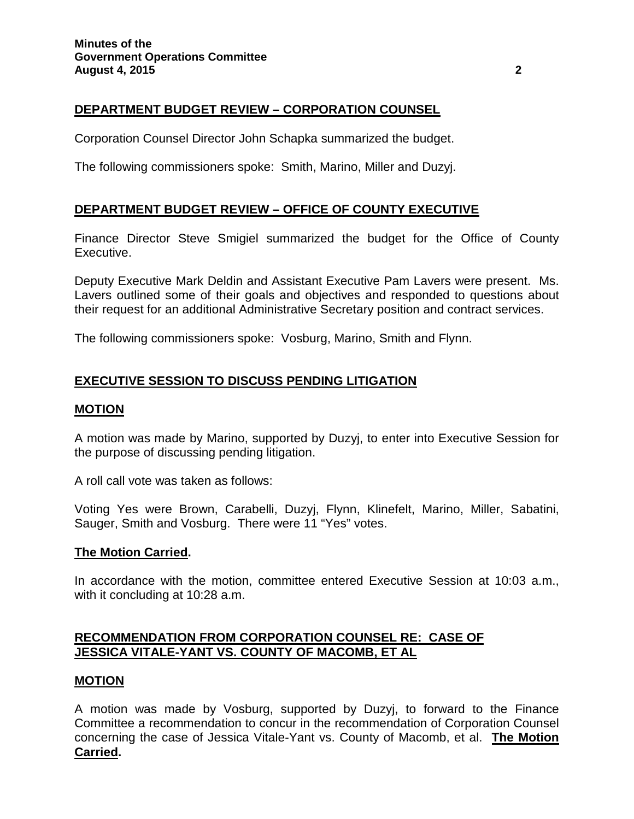# **DEPARTMENT BUDGET REVIEW – CORPORATION COUNSEL**

Corporation Counsel Director John Schapka summarized the budget.

The following commissioners spoke: Smith, Marino, Miller and Duzyj.

# **DEPARTMENT BUDGET REVIEW – OFFICE OF COUNTY EXECUTIVE**

Finance Director Steve Smigiel summarized the budget for the Office of County Executive.

Deputy Executive Mark Deldin and Assistant Executive Pam Lavers were present. Ms. Lavers outlined some of their goals and objectives and responded to questions about their request for an additional Administrative Secretary position and contract services.

The following commissioners spoke: Vosburg, Marino, Smith and Flynn.

# **EXECUTIVE SESSION TO DISCUSS PENDING LITIGATION**

## **MOTION**

A motion was made by Marino, supported by Duzyj, to enter into Executive Session for the purpose of discussing pending litigation.

A roll call vote was taken as follows:

Voting Yes were Brown, Carabelli, Duzyj, Flynn, Klinefelt, Marino, Miller, Sabatini, Sauger, Smith and Vosburg. There were 11 "Yes" votes.

### **The Motion Carried.**

In accordance with the motion, committee entered Executive Session at 10:03 a.m., with it concluding at 10:28 a.m.

# **RECOMMENDATION FROM CORPORATION COUNSEL RE: CASE OF JESSICA VITALE-YANT VS. COUNTY OF MACOMB, ET AL**

### **MOTION**

A motion was made by Vosburg, supported by Duzyj, to forward to the Finance Committee a recommendation to concur in the recommendation of Corporation Counsel concerning the case of Jessica Vitale-Yant vs. County of Macomb, et al. **The Motion Carried.**